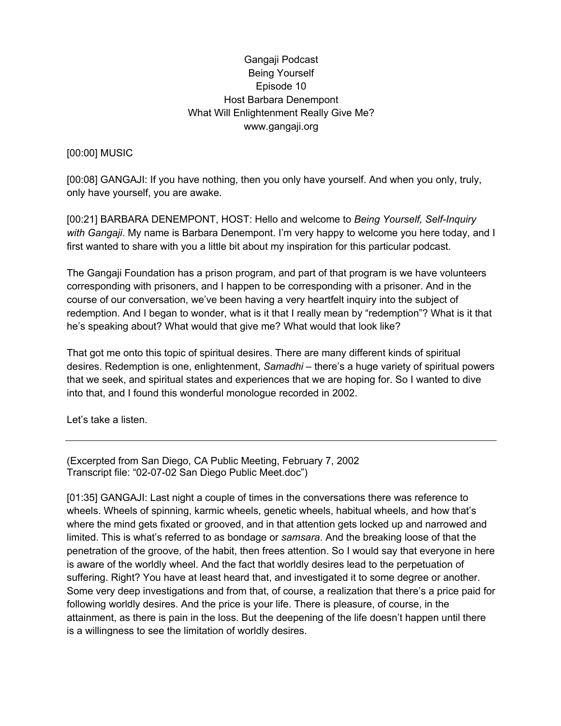## Gangaji Podcast Being Yourself Episode 10 Host Barbara Denempont What Will Enlightenment Really Give Me? www.gangaji.org

## [00:00] MUSIC

[00:08] GANGAJI: If you have nothing, then you only have yourself. And when you only, truly, only have yourself, you are awake.

[00:21] BARBARA DENEMPONT, HOST: Hello and welcome to *Being Yourself, Self-Inquiry with Gangaji*. My name is Barbara Denempont. I'm very happy to welcome you here today, and I first wanted to share with you a little bit about my inspiration for this particular podcast.

The Gangaji Foundation has a prison program, and part of that program is we have volunteers corresponding with prisoners, and I happen to be corresponding with a prisoner. And in the course of our conversation, we've been having a very heartfelt inquiry into the subject of redemption. And I began to wonder, what is it that I really mean by "redemption"? What is it that he's speaking about? What would that give me? What would that look like?

That got me onto this topic of spiritual desires. There are many different kinds of spiritual desires. Redemption is one, enlightenment, *Samadhi* – there's a huge variety of spiritual powers that we seek, and spiritual states and experiences that we are hoping for. So I wanted to dive into that, and I found this wonderful monologue recorded in 2002.

Let's take a listen.

(Excerpted from San Diego, CA Public Meeting, February 7, 2002 Transcript file: "02-07-02 San Diego Public Meet.doc")

[01:35] GANGAJI: Last night a couple of times in the conversations there was reference to wheels. Wheels of spinning, karmic wheels, genetic wheels, habitual wheels, and how that's where the mind gets fixated or grooved, and in that attention gets locked up and narrowed and limited. This is what's referred to as bondage or *samsara*. And the breaking loose of that the penetration of the groove, of the habit, then frees attention. So I would say that everyone in here is aware of the worldly wheel. And the fact that worldly desires lead to the perpetuation of suffering. Right? You have at least heard that, and investigated it to some degree or another. Some very deep investigations and from that, of course, a realization that there's a price paid for following worldly desires. And the price is your life. There is pleasure, of course, in the attainment, as there is pain in the loss. But the deepening of the life doesn't happen until there is a willingness to see the limitation of worldly desires.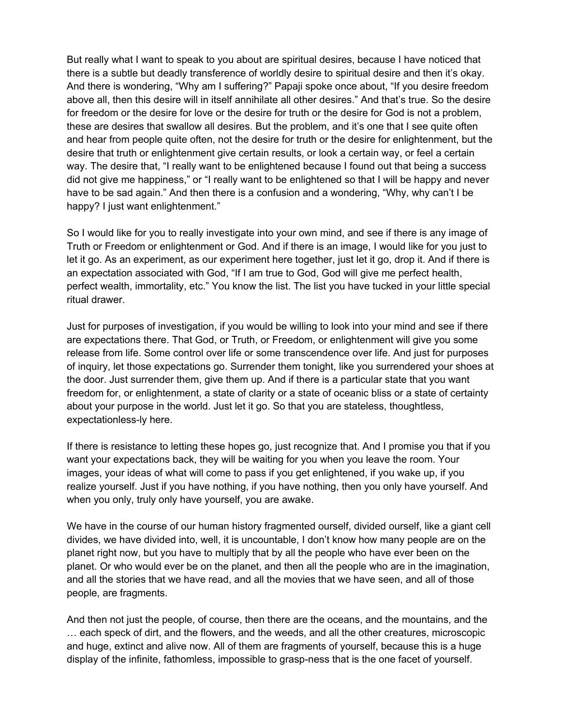But really what I want to speak to you about are spiritual desires, because I have noticed that there is a subtle but deadly transference of worldly desire to spiritual desire and then it's okay. And there is wondering, "Why am I suffering?" Papaji spoke once about, "If you desire freedom above all, then this desire will in itself annihilate all other desires." And that's true. So the desire for freedom or the desire for love or the desire for truth or the desire for God is not a problem, these are desires that swallow all desires. But the problem, and it's one that I see quite often and hear from people quite often, not the desire for truth or the desire for enlightenment, but the desire that truth or enlightenment give certain results, or look a certain way, or feel a certain way. The desire that, "I really want to be enlightened because I found out that being a success did not give me happiness," or "I really want to be enlightened so that I will be happy and never have to be sad again." And then there is a confusion and a wondering, "Why, why can't I be happy? I just want enlightenment."

So I would like for you to really investigate into your own mind, and see if there is any image of Truth or Freedom or enlightenment or God. And if there is an image, I would like for you just to let it go. As an experiment, as our experiment here together, just let it go, drop it. And if there is an expectation associated with God, "If I am true to God, God will give me perfect health, perfect wealth, immortality, etc." You know the list. The list you have tucked in your little special ritual drawer.

Just for purposes of investigation, if you would be willing to look into your mind and see if there are expectations there. That God, or Truth, or Freedom, or enlightenment will give you some release from life. Some control over life or some transcendence over life. And just for purposes of inquiry, let those expectations go. Surrender them tonight, like you surrendered your shoes at the door. Just surrender them, give them up. And if there is a particular state that you want freedom for, or enlightenment, a state of clarity or a state of oceanic bliss or a state of certainty about your purpose in the world. Just let it go. So that you are stateless, thoughtless, expectationless-ly here.

If there is resistance to letting these hopes go, just recognize that. And I promise you that if you want your expectations back, they will be waiting for you when you leave the room. Your images, your ideas of what will come to pass if you get enlightened, if you wake up, if you realize yourself. Just if you have nothing, if you have nothing, then you only have yourself. And when you only, truly only have yourself, you are awake.

We have in the course of our human history fragmented ourself, divided ourself, like a giant cell divides, we have divided into, well, it is uncountable, I don't know how many people are on the planet right now, but you have to multiply that by all the people who have ever been on the planet. Or who would ever be on the planet, and then all the people who are in the imagination, and all the stories that we have read, and all the movies that we have seen, and all of those people, are fragments.

And then not just the people, of course, then there are the oceans, and the mountains, and the … each speck of dirt, and the flowers, and the weeds, and all the other creatures, microscopic and huge, extinct and alive now. All of them are fragments of yourself, because this is a huge display of the infinite, fathomless, impossible to grasp-ness that is the one facet of yourself.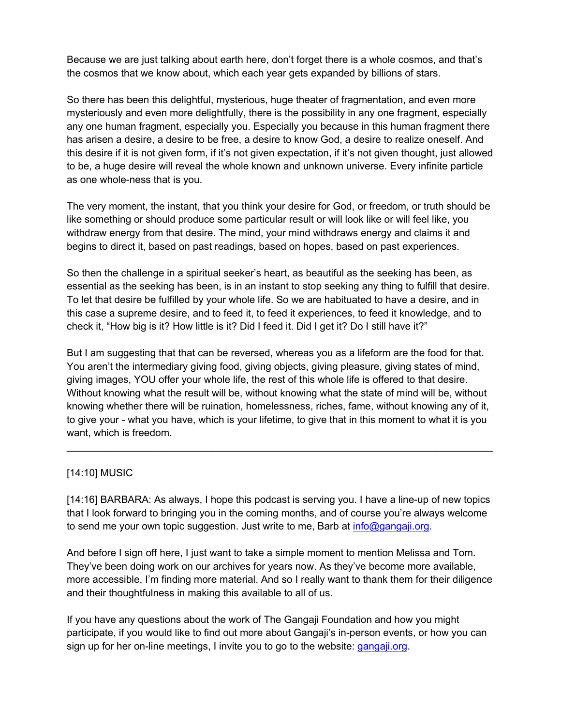Because we are just talking about earth here, don't forget there is a whole cosmos, and that's the cosmos that we know about, which each year gets expanded by billions of stars.

So there has been this delightful, mysterious, huge theater of fragmentation, and even more mysteriously and even more delightfully, there is the possibility in any one fragment, especially any one human fragment, especially you. Especially you because in this human fragment there has arisen a desire, a desire to be free, a desire to know God, a desire to realize oneself. And this desire if it is not given form, if it's not given expectation, if it's not given thought, just allowed to be, a huge desire will reveal the whole known and unknown universe. Every infinite particle as one whole-ness that is you.

The very moment, the instant, that you think your desire for God, or freedom, or truth should be like something or should produce some particular result or will look like or will feel like, you withdraw energy from that desire. The mind, your mind withdraws energy and claims it and begins to direct it, based on past readings, based on hopes, based on past experiences.

So then the challenge in a spiritual seeker's heart, as beautiful as the seeking has been, as essential as the seeking has been, is in an instant to stop seeking any thing to fulfill that desire. To let that desire be fulfilled by your whole life. So we are habituated to have a desire, and in this case a supreme desire, and to feed it, to feed it experiences, to feed it knowledge, and to check it, "How big is it? How little is it? Did I feed it. Did I get it? Do I still have it?"

But I am suggesting that that can be reversed, whereas you as a lifeform are the food for that. You aren't the intermediary giving food, giving objects, giving pleasure, giving states of mind, giving images, YOU offer your whole life, the rest of this whole life is offered to that desire. Without knowing what the result will be, without knowing what the state of mind will be, without knowing whether there will be ruination, homelessness, riches, fame, without knowing any of it, to give your - what you have, which is your lifetime, to give that in this moment to what it is you want, which is freedom.

 $\_$ 

## [14:10] MUSIC

[14:16] BARBARA: As always, I hope this podcast is serving you. I have a line-up of new topics that I look forward to bringing you in the coming months, and of course you're always welcome to send me your own topic suggestion. Just write to me, Barb at info@gangaji.org.

And before I sign off here, I just want to take a simple moment to mention Melissa and Tom. They've been doing work on our archives for years now. As they've become more available, more accessible, I'm finding more material. And so I really want to thank them for their diligence and their thoughtfulness in making this available to all of us.

If you have any questions about the work of The Gangaji Foundation and how you might participate, if you would like to find out more about Gangaji's in-person events, or how you can sign up for her on-line meetings, I invite you to go to the website: gangaji.org.